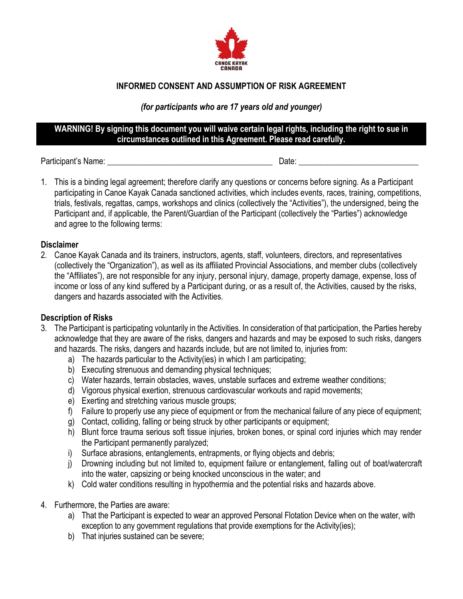

# **INFORMED CONSENT AND ASSUMPTION OF RISK AGREEMENT**

### *(for participants who are 17 years old and younger)*

## **WARNING! By signing this document you will waive certain legal rights, including the right to sue in circumstances outlined in this Agreement. Please read carefully.**

Participant's Name: \_\_\_\_\_\_\_\_\_\_\_\_\_\_\_\_\_\_\_\_\_\_\_\_\_\_\_\_\_\_\_\_\_\_\_\_\_\_\_\_ Date: \_\_\_\_\_\_\_\_\_\_\_\_\_\_\_\_\_\_\_\_\_\_\_\_\_\_\_\_\_

1. This is a binding legal agreement; therefore clarify any questions or concerns before signing. As a Participant participating in Canoe Kayak Canada sanctioned activities, which includes events, races, training, competitions, trials, festivals, regattas, camps, workshops and clinics (collectively the "Activities"), the undersigned, being the Participant and, if applicable, the Parent/Guardian of the Participant (collectively the "Parties") acknowledge and agree to the following terms:

## **Disclaimer**

2. Canoe Kayak Canada and its trainers, instructors, agents, staff, volunteers, directors, and representatives (collectively the "Organization"), as well as its affiliated Provincial Associations, and member clubs (collectively the "Affiliates"), are not responsible for any injury, personal injury, damage, property damage, expense, loss of income or loss of any kind suffered by a Participant during, or as a result of, the Activities, caused by the risks, dangers and hazards associated with the Activities.

## **Description of Risks**

- 3. The Participant is participating voluntarily in the Activities. In consideration of that participation, the Parties hereby acknowledge that they are aware of the risks, dangers and hazards and may be exposed to such risks, dangers and hazards. The risks, dangers and hazards include, but are not limited to, injuries from:
	- a) The hazards particular to the Activity(ies) in which I am participating;
	- b) Executing strenuous and demanding physical techniques;
	- c) Water hazards, terrain obstacles, waves, unstable surfaces and extreme weather conditions;
	- d) Vigorous physical exertion, strenuous cardiovascular workouts and rapid movements;
	- e) Exerting and stretching various muscle groups;
	- f) Failure to properly use any piece of equipment or from the mechanical failure of any piece of equipment;
	- g) Contact, colliding, falling or being struck by other participants or equipment;
	- h) Blunt force trauma serious soft tissue injuries, broken bones, or spinal cord injuries which may render the Participant permanently paralyzed;
	- i) Surface abrasions, entanglements, entrapments, or flying objects and debris;
	- j) Drowning including but not limited to, equipment failure or entanglement, falling out of boat/watercraft into the water, capsizing or being knocked unconscious in the water; and
	- k) Cold water conditions resulting in hypothermia and the potential risks and hazards above.
- 4. Furthermore, the Parties are aware:
	- a) That the Participant is expected to wear an approved Personal Flotation Device when on the water, with exception to any government regulations that provide exemptions for the Activity(ies);
	- b) That injuries sustained can be severe;